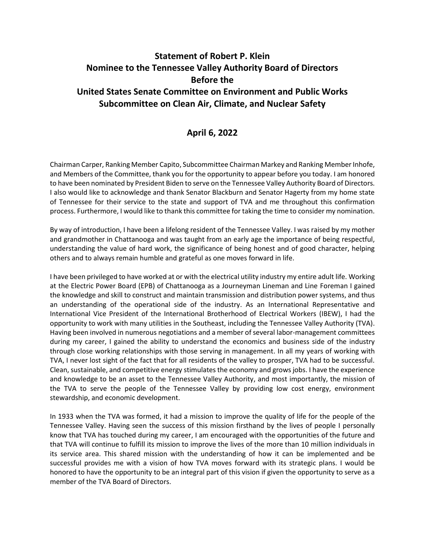## **Statement of Robert P. Klein Nominee to the Tennessee Valley Authority Board of Directors Before the United States Senate Committee on Environment and Public Works Subcommittee on Clean Air, Climate, and Nuclear Safety**

## **April 6, 2022**

Chairman Carper, Ranking Member Capito, Subcommittee Chairman Markey and Ranking Member Inhofe, and Members of the Committee, thank you for the opportunity to appear before you today. I am honored to have been nominated by President Biden to serve on the Tennessee Valley Authority Board of Directors. I also would like to acknowledge and thank Senator Blackburn and Senator Hagerty from my home state of Tennessee for their service to the state and support of TVA and me throughout this confirmation process. Furthermore, I would like to thank this committee for taking the time to consider my nomination.

By way of introduction, I have been a lifelong resident of the Tennessee Valley. I was raised by my mother and grandmother in Chattanooga and was taught from an early age the importance of being respectful, understanding the value of hard work, the significance of being honest and of good character, helping others and to always remain humble and grateful as one moves forward in life.

I have been privileged to have worked at or with the electrical utility industry my entire adult life. Working at the Electric Power Board (EPB) of Chattanooga as a Journeyman Lineman and Line Foreman I gained the knowledge and skill to construct and maintain transmission and distribution power systems, and thus an understanding of the operational side of the industry. As an International Representative and International Vice President of the International Brotherhood of Electrical Workers (IBEW), I had the opportunity to work with many utilities in the Southeast, including the Tennessee Valley Authority (TVA). Having been involved in numerous negotiations and a member of several labor-management committees during my career, I gained the ability to understand the economics and business side of the industry through close working relationships with those serving in management. In all my years of working with TVA, I never lost sight of the fact that for all residents of the valley to prosper, TVA had to be successful. Clean, sustainable, and competitive energy stimulates the economy and grows jobs. I have the experience and knowledge to be an asset to the Tennessee Valley Authority, and most importantly, the mission of the TVA to serve the people of the Tennessee Valley by providing low cost energy, environment stewardship, and economic development.

In 1933 when the TVA was formed, it had a mission to improve the quality of life for the people of the Tennessee Valley. Having seen the success of this mission firsthand by the lives of people I personally know that TVA has touched during my career, I am encouraged with the opportunities of the future and that TVA will continue to fulfill its mission to improve the lives of the more than 10 million individuals in its service area. This shared mission with the understanding of how it can be implemented and be successful provides me with a vision of how TVA moves forward with its strategic plans. I would be honored to have the opportunity to be an integral part of this vision if given the opportunity to serve as a member of the TVA Board of Directors.